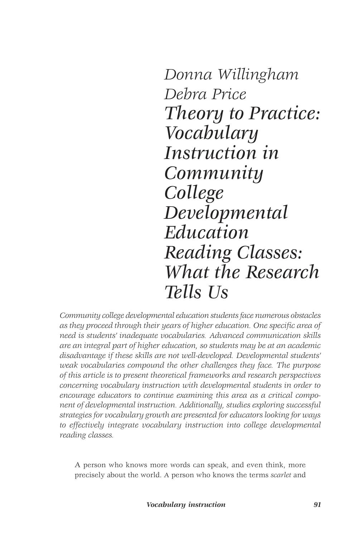*Donna Willingham Debra Price Theory to Practice: Vocabulary Instruction in Community College Developmental Education Reading Classes: What the Research Tells Us* 

*Community college developmental education students face numerous obstacles as they proceed through their years of higher education. One specific area of need is students' inadequate vocabularies. Advanced communication skills are an integral part of higher education, so students may be at an academic disadvantage if these skills are not well-developed. Developmental students' weak vocabularies compound the other challenges they face. The purpose of this article is to present theoretical frameworks and research perspectives concerning vocabulary instruction with developmental students in order to encourage educators to continue examining this area as a critical component of developmental instruction. Additionally, studies exploring successful strategies for vocabulary growth are presented for educators looking for ways to effectively integrate vocabulary instruction into college developmental reading classes.*

A person who knows more words can speak, and even think, more precisely about the world. A person who knows the terms *scarlet* and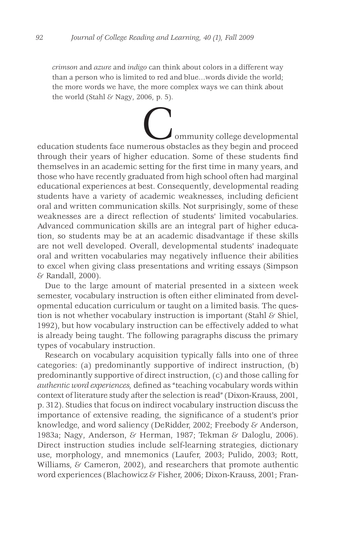*crimson* and *azure* and *indigo* can think about colors in a different way than a person who is limited to red and blue…words divide the world; the more words we have, the more complex ways we can think about the world (Stahl & Nagy, 2006, p. 5).

**Community college developmental** education students face numerous obstacles as they begin and proceed through their years of higher education. Some of these students find themselves in an academic setting for the first time in many years, and those who have recently graduated from high school often had marginal educational experiences at best. Consequently, developmental reading students have a variety of academic weaknesses, including deficient oral and written communication skills. Not surprisingly, some of these weaknesses are a direct reflection of students' limited vocabularies. Advanced communication skills are an integral part of higher education, so students may be at an academic disadvantage if these skills are not well developed. Overall, developmental students' inadequate oral and written vocabularies may negatively influence their abilities to excel when giving class presentations and writing essays (Simpson & Randall, 2000).

Due to the large amount of material presented in a sixteen week semester, vocabulary instruction is often either eliminated from developmental education curriculum or taught on a limited basis. The question is not whether vocabulary instruction is important (Stahl  $\&$  Shiel, 1992), but how vocabulary instruction can be effectively added to what is already being taught. The following paragraphs discuss the primary types of vocabulary instruction.

Research on vocabulary acquisition typically falls into one of three categories: (a) predominantly supportive of indirect instruction, (b) predominantly supportive of direct instruction, (c) and those calling for *authentic word experiences,* defined as "teaching vocabulary words within context of literature study after the selection is read" (Dixon-Krauss, 2001, p. 312). Studies that focus on indirect vocabulary instruction discuss the importance of extensive reading, the significance of a student's prior knowledge, and word saliency (DeRidder, 2002; Freebody & Anderson, 1983a; Nagy, Anderson, & Herman, 1987; Tekman & Daloglu, 2006). Direct instruction studies include self-learning strategies, dictionary use, morphology, and mnemonics (Laufer, 2003; Pulido, 2003; Rott, Williams, & Cameron, 2002), and researchers that promote authentic word experiences (Blachowicz & Fisher, 2006; Dixon-Krauss, 2001; Fran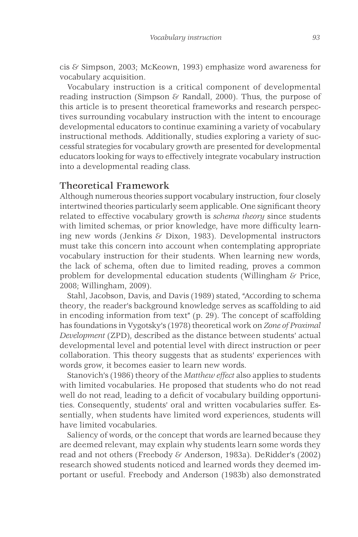cis & Simpson, 2003; McKeown, 1993) emphasize word awareness for vocabulary acquisition.

Vocabulary instruction is a critical component of developmental reading instruction (Simpson & Randall, 2000). Thus, the purpose of this article is to present theoretical frameworks and research perspectives surrounding vocabulary instruction with the intent to encourage developmental educators to continue examining a variety of vocabulary instructional methods. Additionally, studies exploring a variety of successful strategies for vocabulary growth are presented for developmental educators looking for ways to effectively integrate vocabulary instruction into a developmental reading class.

### Theoretical Framework

Although numerous theories support vocabulary instruction, four closely intertwined theories particularly seem applicable. One significant theory related to effective vocabulary growth is *schema theory* since students with limited schemas, or prior knowledge, have more difficulty learning new words (Jenkins & Dixon, 1983). Developmental instructors must take this concern into account when contemplating appropriate vocabulary instruction for their students. When learning new words, the lack of schema, often due to limited reading, proves a common problem for developmental education students (Willingham & Price, 2008; Willingham, 2009).

Stahl, Jacobson, Davis, and Davis (1989) stated, "According to schema theory, the reader's background knowledge serves as scaffolding to aid in encoding information from text" (p. 29). The concept of scaffolding has foundations in Vygotsky's (1978) theoretical work on *Zone of Proximal Development* (ZPD), described as the distance between students' actual developmental level and potential level with direct instruction or peer collaboration. This theory suggests that as students' experiences with words grow, it becomes easier to learn new words.

Stanovich's (1986) theory of the *Matthew effect* also applies to students with limited vocabularies. He proposed that students who do not read well do not read, leading to a deficit of vocabulary building opportunities. Consequently, students' oral and written vocabularies suffer. Essentially, when students have limited word experiences, students will have limited vocabularies.

Saliency of words, or the concept that words are learned because they are deemed relevant, may explain why students learn some words they read and not others (Freebody & Anderson, 1983a). DeRidder's (2002) research showed students noticed and learned words they deemed important or useful. Freebody and Anderson (1983b) also demonstrated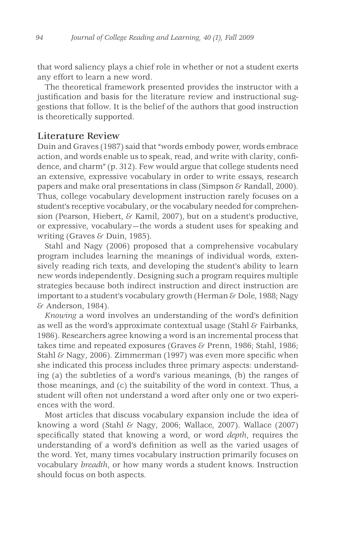that word saliency plays a chief role in whether or not a student exerts any effort to learn a new word.

The theoretical framework presented provides the instructor with a justification and basis for the literature review and instructional suggestions that follow. It is the belief of the authors that good instruction is theoretically supported.

#### Literature Review

Duin and Graves (1987) said that "words embody power, words embrace action, and words enable us to speak, read, and write with clarity, confidence, and charm" (p. 312). Few would argue that college students need an extensive, expressive vocabulary in order to write essays, research papers and make oral presentations in class (Simpson & Randall, 2000). Thus, college vocabulary development instruction rarely focuses on a student's receptive vocabulary, or the vocabulary needed for comprehension (Pearson, Hiebert, & Kamil, 2007), but on a student's productive, or expressive, vocabulary—the words a student uses for speaking and writing (Graves & Duin, 1985).

Stahl and Nagy (2006) proposed that a comprehensive vocabulary program includes learning the meanings of individual words, extensively reading rich texts, and developing the student's ability to learn new words independently. Designing such a program requires multiple strategies because both indirect instruction and direct instruction are important to a student's vocabulary growth (Herman & Dole, 1988; Nagy & Anderson, 1984).

*Knowing* a word involves an understanding of the word's definition as well as the word's approximate contextual usage (Stahl  $\&$  Fairbanks, 1986). Researchers agree knowing a word is an incremental process that takes time and repeated exposures (Graves & Prenn, 1986; Stahl, 1986; Stahl & Nagy, 2006). Zimmerman (1997) was even more specific when she indicated this process includes three primary aspects: understanding (a) the subtleties of a word's various meanings, (b) the ranges of those meanings, and (c) the suitability of the word in context. Thus, a student will often not understand a word after only one or two experiences with the word.

Most articles that discuss vocabulary expansion include the idea of knowing a word (Stahl & Nagy, 2006; Wallace, 2007). Wallace  $(2007)$ specifically stated that knowing a word, or word *depth*, requires the understanding of a word's definition as well as the varied usages of the word. Yet, many times vocabulary instruction primarily focuses on vocabulary *breadth*, or how many words a student knows. Instruction should focus on both aspects.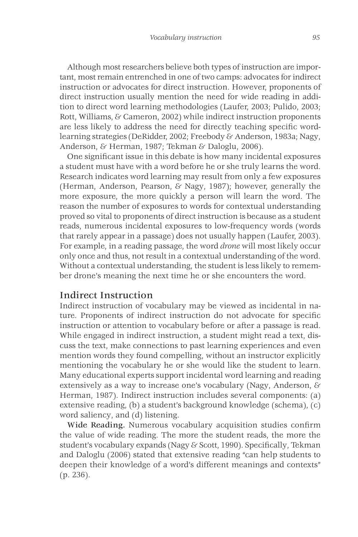Although most researchers believe both types of instruction are important, most remain entrenched in one of two camps: advocates for indirect instruction or advocates for direct instruction. However, proponents of direct instruction usually mention the need for wide reading in addition to direct word learning methodologies (Laufer, 2003; Pulido, 2003; Rott, Williams, & Cameron, 2002) while indirect instruction proponents are less likely to address the need for directly teaching specific wordlearning strategies (DeRidder, 2002; Freebody & Anderson, 1983a; Nagy, Anderson, & Herman, 1987; Tekman & Daloglu, 2006).

One significant issue in this debate is how many incidental exposures a student must have with a word before he or she truly learns the word. Research indicates word learning may result from only a few exposures (Herman, Anderson, Pearson, & Nagy, 1987); however, generally the more exposure, the more quickly a person will learn the word. The reason the number of exposures to words for contextual understanding proved so vital to proponents of direct instruction is because as a student reads, numerous incidental exposures to low-frequency words (words that rarely appear in a passage) does not usually happen (Laufer, 2003). For example, in a reading passage, the word *drone* will most likely occur only once and thus, not result in a contextual understanding of the word. Without a contextual understanding, the student is less likely to remember drone's meaning the next time he or she encounters the word.

## Indirect Instruction

Indirect instruction of vocabulary may be viewed as incidental in nature. Proponents of indirect instruction do not advocate for specific instruction or attention to vocabulary before or after a passage is read. While engaged in indirect instruction, a student might read a text, discuss the text, make connections to past learning experiences and even mention words they found compelling, without an instructor explicitly mentioning the vocabulary he or she would like the student to learn. Many educational experts support incidental word learning and reading extensively as a way to increase one's vocabulary (Nagy, Anderson, & Herman, 1987). Indirect instruction includes several components: (a) extensive reading, (b) a student's background knowledge (schema), (c) word saliency, and (d) listening.

Wide Reading. Numerous vocabulary acquisition studies confirm the value of wide reading. The more the student reads, the more the student's vocabulary expands (Nagy & Scott, 1990). Specifically, Tekman and Daloglu (2006) stated that extensive reading "can help students to deepen their knowledge of a word's different meanings and contexts" (p. 236).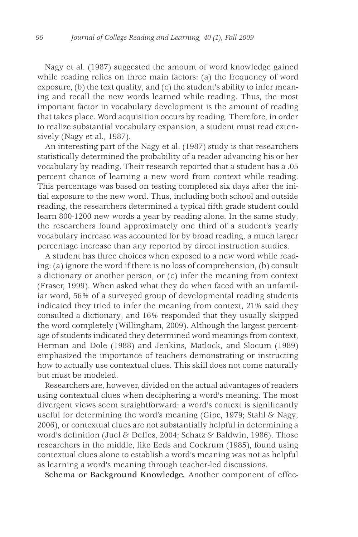Nagy et al. (1987) suggested the amount of word knowledge gained while reading relies on three main factors: (a) the frequency of word exposure, (b) the text quality, and (c) the student's ability to infer meaning and recall the new words learned while reading. Thus, the most important factor in vocabulary development is the amount of reading that takes place. Word acquisition occurs by reading. Therefore, in order to realize substantial vocabulary expansion, a student must read extensively (Nagy et al., 1987).

An interesting part of the Nagy et al. (1987) study is that researchers statistically determined the probability of a reader advancing his or her vocabulary by reading. Their research reported that a student has a .05 percent chance of learning a new word from context while reading. This percentage was based on testing completed six days after the initial exposure to the new word. Thus, including both school and outside reading, the researchers determined a typical fifth grade student could learn 800-1200 new words a year by reading alone. In the same study, the researchers found approximately one third of a student's yearly vocabulary increase was accounted for by broad reading, a much larger percentage increase than any reported by direct instruction studies.

A student has three choices when exposed to a new word while reading: (a) ignore the word if there is no loss of comprehension, (b) consult a dictionary or another person, or (c) infer the meaning from context (Fraser, 1999). When asked what they do when faced with an unfamiliar word, 56% of a surveyed group of developmental reading students indicated they tried to infer the meaning from context, 21% said they consulted a dictionary, and 16% responded that they usually skipped the word completely (Willingham, 2009). Although the largest percentage of students indicated they determined word meanings from context, Herman and Dole (1988) and Jenkins, Matlock, and Slocum (1989) emphasized the importance of teachers demonstrating or instructing how to actually use contextual clues. This skill does not come naturally but must be modeled.

Researchers are, however, divided on the actual advantages of readers using contextual clues when deciphering a word's meaning. The most divergent views seem straightforward: a word's context is significantly useful for determining the word's meaning (Gipe, 1979; Stahl  $\&$  Nagy, 2006), or contextual clues are not substantially helpful in determining a word's definition (Juel & Deffes, 2004; Schatz & Baldwin, 1986). Those researchers in the middle, like Eeds and Cockrum (1985), found using contextual clues alone to establish a word's meaning was not as helpful as learning a word's meaning through teacher-led discussions.

Schema or Background Knowledge. Another component of effec-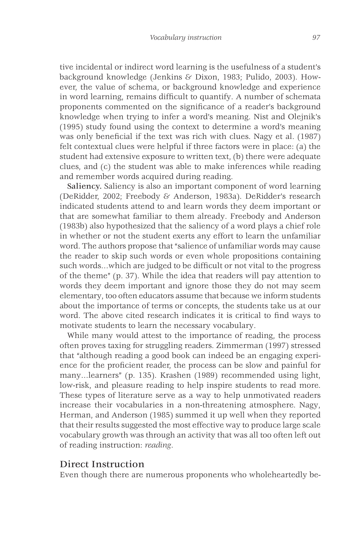tive incidental or indirect word learning is the usefulness of a student's background knowledge (Jenkins & Dixon, 1983; Pulido, 2003). However, the value of schema, or background knowledge and experience in word learning, remains difficult to quantify. A number of schemata proponents commented on the significance of a reader's background knowledge when trying to infer a word's meaning. Nist and Olejnik's (1995) study found using the context to determine a word's meaning was only beneficial if the text was rich with clues. Nagy et al. (1987) felt contextual clues were helpful if three factors were in place: (a) the student had extensive exposure to written text, (b) there were adequate clues, and (c) the student was able to make inferences while reading and remember words acquired during reading.

Saliency. Saliency is also an important component of word learning (DeRidder, 2002; Freebody & Anderson, 1983a). DeRidder's research indicated students attend to and learn words they deem important or that are somewhat familiar to them already. Freebody and Anderson (1983b) also hypothesized that the saliency of a word plays a chief role in whether or not the student exerts any effort to learn the unfamiliar word. The authors propose that "salience of unfamiliar words may cause the reader to skip such words or even whole propositions containing such words…which are judged to be difficult or not vital to the progress of the theme" (p. 37). While the idea that readers will pay attention to words they deem important and ignore those they do not may seem elementary, too often educators assume that because we inform students about the importance of terms or concepts, the students take us at our word. The above cited research indicates it is critical to find ways to motivate students to learn the necessary vocabulary.

While many would attest to the importance of reading, the process often proves taxing for struggling readers. Zimmerman (1997) stressed that "although reading a good book can indeed be an engaging experience for the proficient reader, the process can be slow and painful for many…learners" (p. 135). Krashen (1989) recommended using light, low-risk, and pleasure reading to help inspire students to read more. These types of literature serve as a way to help unmotivated readers increase their vocabularies in a non-threatening atmosphere. Nagy, Herman, and Anderson (1985) summed it up well when they reported that their results suggested the most effective way to produce large scale vocabulary growth was through an activity that was all too often left out of reading instruction: *reading*.

#### Direct Instruction

Even though there are numerous proponents who wholeheartedly be-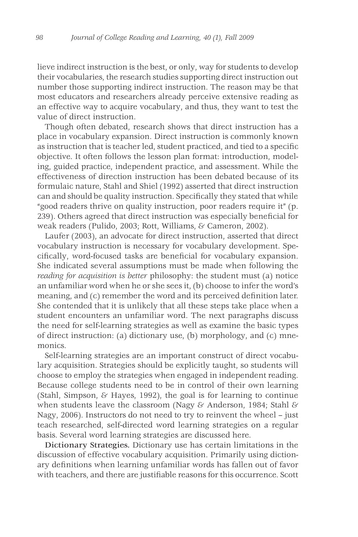lieve indirect instruction is the best, or only, way for students to develop their vocabularies, the research studies supporting direct instruction out number those supporting indirect instruction. The reason may be that most educators and researchers already perceive extensive reading as an effective way to acquire vocabulary, and thus, they want to test the value of direct instruction.

Though often debated, research shows that direct instruction has a place in vocabulary expansion. Direct instruction is commonly known as instruction that is teacher led, student practiced, and tied to a specific objective. It often follows the lesson plan format: introduction, modeling, guided practice, independent practice, and assessment. While the effectiveness of direction instruction has been debated because of its formulaic nature, Stahl and Shiel (1992) asserted that direct instruction can and should be quality instruction. Specifically they stated that while "good readers thrive on quality instruction, poor readers require it" (p. 239). Others agreed that direct instruction was especially beneficial for weak readers (Pulido, 2003; Rott, Williams, & Cameron, 2002).

Laufer (2003), an advocate for direct instruction, asserted that direct vocabulary instruction is necessary for vocabulary development. Specifically, word-focused tasks are beneficial for vocabulary expansion. She indicated several assumptions must be made when following the *reading for acquisition is better* philosophy: the student must (a) notice an unfamiliar word when he or she sees it, (b) choose to infer the word's meaning, and (c) remember the word and its perceived definition later. She contended that it is unlikely that all these steps take place when a student encounters an unfamiliar word. The next paragraphs discuss the need for self-learning strategies as well as examine the basic types of direct instruction: (a) dictionary use, (b) morphology, and (c) mnemonics.

Self-learning strategies are an important construct of direct vocabulary acquisition. Strategies should be explicitly taught, so students will choose to employ the strategies when engaged in independent reading. Because college students need to be in control of their own learning (Stahl, Simpson,  $\&$  Hayes, 1992), the goal is for learning to continue when students leave the classroom (Nagy & Anderson, 1984; Stahl & Nagy, 2006). Instructors do not need to try to reinvent the wheel – just teach researched, self-directed word learning strategies on a regular basis. Several word learning strategies are discussed here.

Dictionary Strategies. Dictionary use has certain limitations in the discussion of effective vocabulary acquisition. Primarily using dictionary definitions when learning unfamiliar words has fallen out of favor with teachers, and there are justifiable reasons for this occurrence. Scott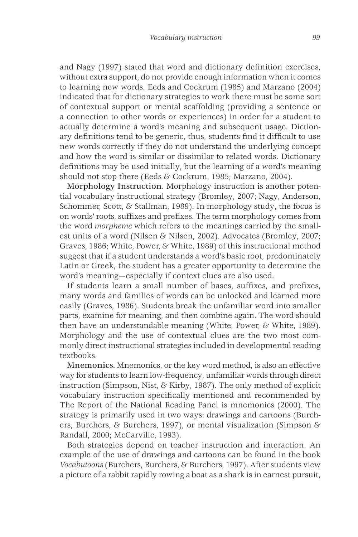and Nagy (1997) stated that word and dictionary definition exercises, without extra support, do not provide enough information when it comes to learning new words. Eeds and Cockrum (1985) and Marzano (2004) indicated that for dictionary strategies to work there must be some sort of contextual support or mental scaffolding (providing a sentence or a connection to other words or experiences) in order for a student to actually determine a word's meaning and subsequent usage. Dictionary definitions tend to be generic, thus, students find it difficult to use new words correctly if they do not understand the underlying concept and how the word is similar or dissimilar to related words. Dictionary definitions may be used initially, but the learning of a word's meaning should not stop there (Eeds  $&$  Cockrum, 1985; Marzano, 2004).

Morphology Instruction. Morphology instruction is another potential vocabulary instructional strategy (Bromley, 2007; Nagy, Anderson, Schommer, Scott, & Stallman, 1989). In morphology study, the focus is on words' roots, suffixes and prefixes. The term morphology comes from the word *morpheme* which refers to the meanings carried by the smallest units of a word (Nilsen & Nilsen, 2002). Advocates (Bromley, 2007; Graves, 1986; White, Power, & White, 1989) of this instructional method suggest that if a student understands a word's basic root, predominately Latin or Greek, the student has a greater opportunity to determine the word's meaning—especially if context clues are also used.

If students learn a small number of bases, suffixes, and prefixes, many words and families of words can be unlocked and learned more easily (Graves, 1986). Students break the unfamiliar word into smaller parts, examine for meaning, and then combine again. The word should then have an understandable meaning (White, Power, & White, 1989). Morphology and the use of contextual clues are the two most commonly direct instructional strategies included in developmental reading textbooks.

Mnemonics. Mnemonics, or the key word method, is also an effective way for students to learn low-frequency, unfamiliar words through direct instruction (Simpson, Nist, & Kirby, 1987). The only method of explicit vocabulary instruction specifically mentioned and recommended by The Report of the National Reading Panel is mnemonics (2000). The strategy is primarily used in two ways: drawings and cartoons (Burchers, Burchers, & Burchers, 1997), or mental visualization (Simpson & Randall, 2000; McCarville, 1993).

Both strategies depend on teacher instruction and interaction. An example of the use of drawings and cartoons can be found in the book *Vocabutoons* (Burchers, Burchers, & Burchers, 1997). After students view a picture of a rabbit rapidly rowing a boat as a shark is in earnest pursuit,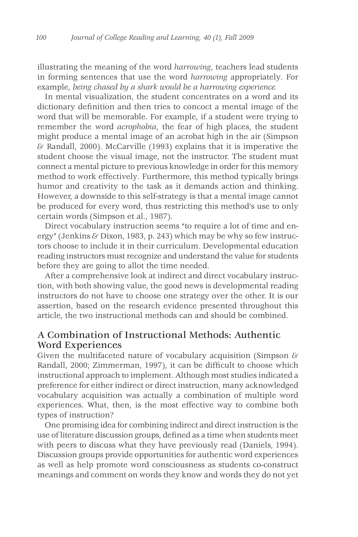illustrating the meaning of the word *harrowing*, teachers lead students in forming sentences that use the word *harrowing* appropriately. For example, *being chased by a shark would be a harrowing experience.*

In mental visualization, the student concentrates on a word and its dictionary definition and then tries to concoct a mental image of the word that will be memorable. For example, if a student were trying to remember the word *acrophobia*, the fear of high places, the student might produce a mental image of an acrobat high in the air (Simpson & Randall, 2000). McCarville (1993) explains that it is imperative the student choose the visual image, not the instructor. The student must connect a mental picture to previous knowledge in order for this memory method to work effectively. Furthermore, this method typically brings humor and creativity to the task as it demands action and thinking. However, a downside to this self-strategy is that a mental image cannot be produced for every word, thus restricting this method's use to only certain words (Simpson et al., 1987).

Direct vocabulary instruction seems "to require a lot of time and energy" (Jenkins & Dixon, 1983, p. 243) which may be why so few instructors choose to include it in their curriculum. Developmental education reading instructors must recognize and understand the value for students before they are going to allot the time needed.

After a comprehensive look at indirect and direct vocabulary instruction, with both showing value, the good news is developmental reading instructors do not have to choose one strategy over the other. It is our assertion, based on the research evidence presented throughout this article, the two instructional methods can and should be combined.

# A Combination of Instructional Methods: Authentic Word Experiences

Given the multifaceted nature of vocabulary acquisition (Simpson & Randall, 2000; Zimmerman, 1997), it can be difficult to choose which instructional approach to implement. Although most studies indicated a preference for either indirect or direct instruction, many acknowledged vocabulary acquisition was actually a combination of multiple word experiences. What, then, is the most effective way to combine both types of instruction?

One promising idea for combining indirect and direct instruction is the use of literature discussion groups, defined as a time when students meet with peers to discuss what they have previously read (Daniels, 1994). Discussion groups provide opportunities for authentic word experiences as well as help promote word consciousness as students co-construct meanings and comment on words they know and words they do not yet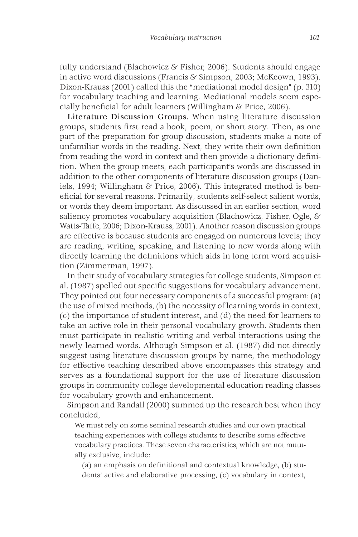fully understand (Blachowicz  $\&$  Fisher, 2006). Students should engage in active word discussions (Francis & Simpson, 2003; McKeown, 1993). Dixon-Krauss (2001) called this the "mediational model design" (p. 310) for vocabulary teaching and learning. Mediational models seem especially beneficial for adult learners (Willingham & Price, 2006).

Literature Discussion Groups. When using literature discussion groups, students first read a book, poem, or short story. Then, as one part of the preparation for group discussion, students make a note of unfamiliar words in the reading. Next, they write their own definition from reading the word in context and then provide a dictionary definition. When the group meets, each participant's words are discussed in addition to the other components of literature discussion groups (Daniels, 1994; Willingham & Price, 2006). This integrated method is beneficial for several reasons. Primarily, students self-select salient words, or words they deem important. As discussed in an earlier section, word saliency promotes vocabulary acquisition (Blachowicz, Fisher, Ogle, & Watts-Taffe, 2006; Dixon-Krauss, 2001). Another reason discussion groups are effective is because students are engaged on numerous levels; they are reading, writing, speaking, and listening to new words along with directly learning the definitions which aids in long term word acquisition (Zimmerman, 1997).

In their study of vocabulary strategies for college students, Simpson et al. (1987) spelled out specific suggestions for vocabulary advancement. They pointed out four necessary components of a successful program: (a) the use of mixed methods, (b) the necessity of learning words in context, (c) the importance of student interest, and (d) the need for learners to take an active role in their personal vocabulary growth. Students then must participate in realistic writing and verbal interactions using the newly learned words. Although Simpson et al. (1987) did not directly suggest using literature discussion groups by name, the methodology for effective teaching described above encompasses this strategy and serves as a foundational support for the use of literature discussion groups in community college developmental education reading classes for vocabulary growth and enhancement.

Simpson and Randall (2000) summed up the research best when they concluded,

We must rely on some seminal research studies and our own practical teaching experiences with college students to describe some effective vocabulary practices. These seven characteristics, which are not mutually exclusive, include:

 (a) an emphasis on definitional and contextual knowledge, (b) students' active and elaborative processing, (c) vocabulary in context,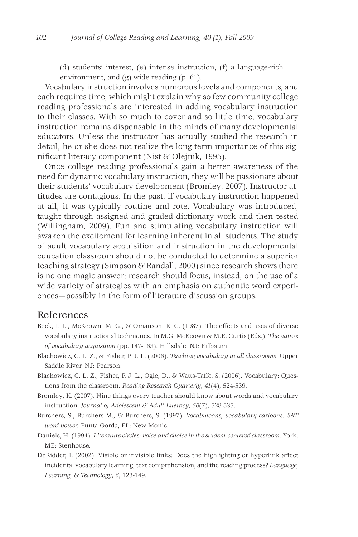(d) students' interest, (e) intense instruction, (f) a language-rich environment, and (g) wide reading (p. 61).

Vocabulary instruction involves numerous levels and components, and each requires time, which might explain why so few community college reading professionals are interested in adding vocabulary instruction to their classes. With so much to cover and so little time, vocabulary instruction remains dispensable in the minds of many developmental educators. Unless the instructor has actually studied the research in detail, he or she does not realize the long term importance of this significant literacy component (Nist & Olejnik, 1995).

Once college reading professionals gain a better awareness of the need for dynamic vocabulary instruction, they will be passionate about their students' vocabulary development (Bromley, 2007). Instructor attitudes are contagious. In the past, if vocabulary instruction happened at all, it was typically routine and rote. Vocabulary was introduced, taught through assigned and graded dictionary work and then tested (Willingham, 2009). Fun and stimulating vocabulary instruction will awaken the excitement for learning inherent in all students. The study of adult vocabulary acquisition and instruction in the developmental education classroom should not be conducted to determine a superior teaching strategy (Simpson  $\&$  Randall, 2000) since research shows there is no one magic answer; research should focus, instead, on the use of a wide variety of strategies with an emphasis on authentic word experiences—possibly in the form of literature discussion groups.

#### References

- Beck, I. L., McKeown, M. G., & Omanson, R. C. (1987). The effects and uses of diverse vocabulary instructional techniques. In M.G. McKeown & M.E. Curtis (Eds.). *The nature of vocabulary acquisition* (pp. 147-163). Hillsdale, NJ: Erlbaum.
- Blachowicz, C. L. Z., & Fisher, P. J. L. (2006). *Teaching vocabulary in all classrooms*. Upper Saddle River, NJ: Pearson.
- Blachowicz, C. L. Z., Fisher, P. J. L., Ogle, D., & Watts-Taffe, S. (2006). Vocabulary: Questions from the classroom. *Reading Research Quarterly, 41*(4), 524-539.
- Bromley, K. (2007). Nine things every teacher should know about words and vocabulary instruction. *Journal of Adolescent & Adult Literacy, 50*(7), 528-535.
- Burchers, S., Burchers M.*,* & Burchers, S. (1997). *Vocabutoons, vocabulary cartoons: SAT word power.* Punta Gorda, FL: New Monic.
- Daniels, H. (1994). *Literature circles: voice and choice in the student-centered classroom.* York, ME: Stenhouse.
- DeRidder, I. (2002). Visible or invisible links: Does the highlighting or hyperlink affect incidental vocabulary learning, text comprehension, and the reading process? *Language, Learning, & Technology*, *6*, 123-149.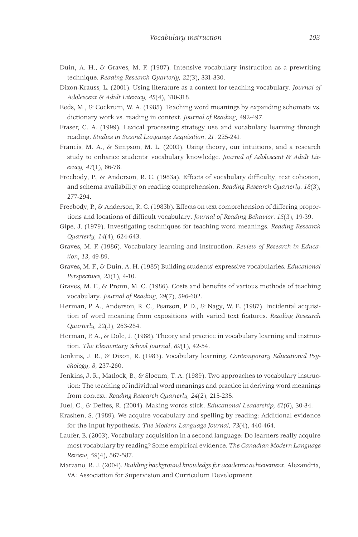- Duin, A. H., & Graves, M. F. (1987). Intensive vocabulary instruction as a prewriting technique. *Reading Research Quarterly, 22*(3), 331-330.
- Dixon-Krauss, L. (2001). Using literature as a context for teaching vocabulary. *Journal of Adolescent & Adult Literacy, 45*(4), 310-318.
- Eeds, M., & Cockrum, W. A. (1985). Teaching word meanings by expanding schemata vs. dictionary work vs. reading in context. *Journal of Reading,* 492-497.
- Fraser, C. A. (1999). Lexical processing strategy use and vocabulary learning through reading. *Studies in Second Language Acquisition*, *21*, 225-241.
- Francis, M. A., & Simpson, M. L. (2003). Using theory, our intuitions, and a research study to enhance students' vocabulary knowledge. *Journal of Adolescent & Adult Literacy, 47*(1), 66-78.
- Freebody, P., & Anderson, R. C. (1983a). Effects of vocabulary difficulty, text cohesion, and schema availability on reading comprehension. *Reading Research Quarterly*, *18*(3), 277-294.
- Freebody, P., & Anderson, R. C. (1983b). Effects on text comprehension of differing proportions and locations of difficult vocabulary. *Journal of Reading Behavior*, *15*(3), 19-39.
- Gipe, J. (1979). Investigating techniques for teaching word meanings. *Reading Research Quarterly, 14*(4), 624-643.
- Graves, M. F. (1986). Vocabulary learning and instruction. *Review of Research in Education*, *13*, 49-89.
- Graves, M. F., & Duin, A. H. (1985) Building students' expressive vocabularies. *Educational Perspectives, 23*(1), 4-10.
- Graves, M. F., & Prenn, M. C. (1986). Costs and benefits of various methods of teaching vocabulary. *Journal of Reading, 29*(7), 596-602.
- Herman, P. A., Anderson, R. C., Pearson, P. D., & Nagy, W. E. (1987). Incidental acquisition of word meaning from expositions with varied text features. *Reading Research Quarterly, 22*(3), 263-284.
- Herman, P. A., & Dole, J. (1988). Theory and practice in vocabulary learning and instruction. *The Elementary School Journal*, *89*(1), 42-54.
- Jenkins, J. R., & Dixon, R. (1983). Vocabulary learning. *Contemporary Educational Psychology*, *8*, 237-260.
- Jenkins, J. R., Matlock, B., & Slocum, T. A. (1989). Two approaches to vocabulary instruction: The teaching of individual word meanings and practice in deriving word meanings from context. *Reading Research Quarterly, 24*(2), 215-235.
- Juel, C., & Deffes, R. (2004). Making words stick. *Educational Leadership, 61*(6), 30-34.
- Krashen, S. (1989). We acquire vocabulary and spelling by reading: Additional evidence for the input hypothesis. *The Modern Language Journal, 73*(4), 440-464.
- Laufer, B. (2003). Vocabulary acquisition in a second language: Do learners really acquire most vocabulary by reading? Some empirical evidence. *The Canadian Modern Language Review*, *59*(4), 567-587.
- Marzano, R. J. (2004). *Building background knowledge for academic achievement.* Alexandria, VA: Association for Supervision and Curriculum Development.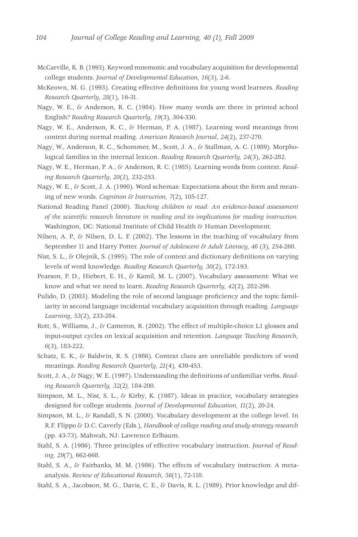- McCarville, K. B. (1993). Keyword mnemonic and vocabulary acquisition for developmental college students. *Journal of Developmental Education, 16*(3), 2-6.
- McKeown, M. G. (1993). Creating effective definitions for young word learners. *Reading Research Quarterly, 28*(1), 16-31.
- Nagy, W. E., & Anderson, R. C. (1984). How many words are there in printed school English? *Reading Research Quarterly, 19*(3), 304-330.
- Nagy, W. E., Anderson, R. C., & Herman, P. A. (1987). Learning word meanings from context during normal reading. *American Research Journal*, *24*(2), 237-270.
- Nagy, W., Anderson, R. C., Schommer, M., Scott, J. A., & Stallman, A. C. (1989). Morphological families in the internal lexicon. *Reading Research Quarterly, 24*(3), 262-282.
- Nagy, W. E., Herman, P. A., & Anderson, R. C. (1985). Learning words from context. *Reading Research Quarterly*, *20*(2), 232-253.
- Nagy, W. E., & Scott, J. A. (1990). Word schemas: Expectations about the form and meaning of new words. *Cognition & Instruction, 7*(2), 105-127.
- National Reading Panel (2000). *Teaching children to read: An evidence-based assessment of the scientific research literature in reading and its implications for reading instruction.*  Washington, DC: National Institute of Child Health & Human Development.
- Nilsen, A. P., & Nilsen, D. L. F. (2002). The lessons in the teaching of vocabulary from September 11 and Harry Potter. *Journal of Adolescent & Adult Literacy, 46* (3), 254-260.
- Nist, S. L., & Olejnik, S. (1995). The role of context and dictionary definitions on varying levels of word knowledge. *Reading Research Quarterly, 30*(2), 172-193.
- Pearson, P. D., Hiebert, E. H., & Kamil, M. L. (2007). Vocabulary assessment: What we know and what we need to learn. *Reading Research Quarterly, 42*(2), 282-296.
- Pulido, D. (2003). Modeling the role of second language proficiency and the topic familiarity in second language incidental vocabulary acquisition through reading. *Language Learning*, *53*(2), 233-284.
- Rott, S., Williams, J., & Cameron, R. (2002). The effect of multiple-choice L1 glosses and input-output cycles on lexical acquisition and retention. *Language Teaching Research*, *6*(3), 183-222.
- Schatz, E. K., & Baldwin, R. S. (1986). Context clues are unreliable predictors of word meanings. *Reading Research Quarterly, 21*(4)*,* 439-453.
- Scott, J. A., & Nagy, W. E. (1997). Understanding the definitions of unfamiliar verbs. *Reading Research Quarterly, 32*(2*),* 184-200.
- Simpson, M. L., Nist, S. L., & Kirby, K. (1987). Ideas in practice, vocabulary strategies designed for college students. *Journal of Developmental Education, 11*(2), 20-24.
- Simpson, M. L., & Randall, S. N. (2000). Vocabulary development at the college level. In R.F. Flippo & D.C. Caverly (Eds.), *Handbook of college reading and study strategy research* (pp. 43-73). Mahwah, NJ: Lawrence Erlbaum.
- Stahl, S. A. (1986). Three principles of effective vocabulary instruction. *Journal of Reading, 29*(7), 662-668.
- Stahl, S. A., & Fairbanks, M. M. (1986). The effects of vocabulary instruction: A metaanalysis. *Review of Educational Research, 56*(1), 72-110.
- Stahl, S. A., Jacobson, M. G., Davis, C. E., & Davis, R. L. (1989). Prior knowledge and dif-